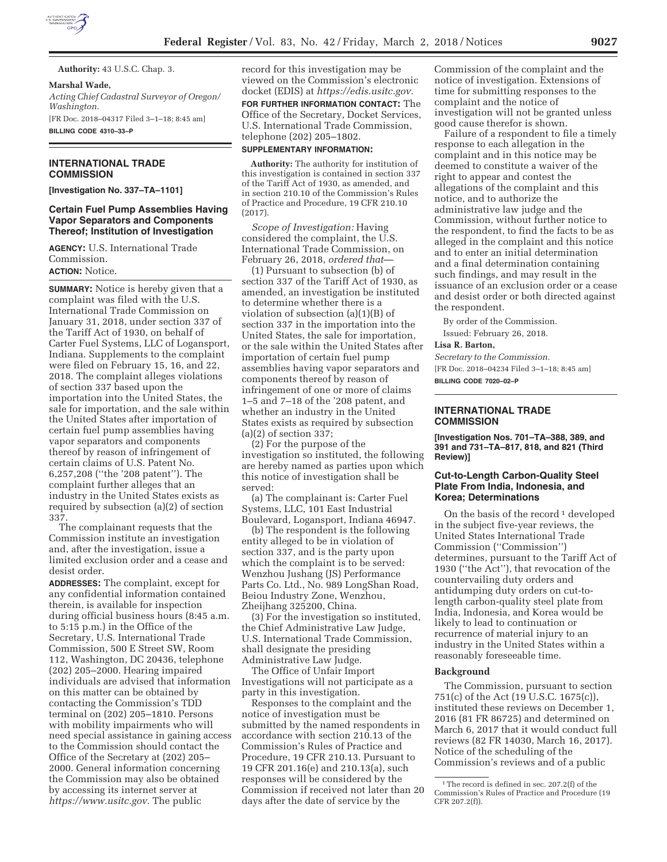

**Authority:** 43 U.S.C. Chap. 3.

#### **Marshal Wade,**

*Acting Chief Cadastral Surveyor of Oregon/ Washington.*  [FR Doc. 2018–04317 Filed 3–1–18; 8:45 am] **BILLING CODE 4310–33–P** 

# **INTERNATIONAL TRADE COMMISSION**

**[Investigation No. 337–TA–1101]** 

# **Certain Fuel Pump Assemblies Having Vapor Separators and Components Thereof; Institution of Investigation**

**AGENCY:** U.S. International Trade Commission. **ACTION:** Notice.

**SUMMARY:** Notice is hereby given that a complaint was filed with the U.S. International Trade Commission on January 31, 2018, under section 337 of the Tariff Act of 1930, on behalf of Carter Fuel Systems, LLC of Logansport, Indiana. Supplements to the complaint were filed on February 15, 16, and 22, 2018. The complaint alleges violations of section 337 based upon the importation into the United States, the sale for importation, and the sale within the United States after importation of certain fuel pump assemblies having vapor separators and components thereof by reason of infringement of certain claims of U.S. Patent No. 6,257,208 (''the '208 patent''). The complaint further alleges that an industry in the United States exists as required by subsection (a)(2) of section 337.

The complainant requests that the Commission institute an investigation and, after the investigation, issue a limited exclusion order and a cease and desist order.

**ADDRESSES:** The complaint, except for any confidential information contained therein, is available for inspection during official business hours (8:45 a.m. to 5:15 p.m.) in the Office of the Secretary, U.S. International Trade Commission, 500 E Street SW, Room 112, Washington, DC 20436, telephone (202) 205–2000. Hearing impaired individuals are advised that information on this matter can be obtained by contacting the Commission's TDD terminal on (202) 205–1810. Persons with mobility impairments who will need special assistance in gaining access to the Commission should contact the Office of the Secretary at (202) 205– 2000. General information concerning the Commission may also be obtained by accessing its internet server at *https://www.usitc.gov.* The public

record for this investigation may be viewed on the Commission's electronic docket (EDIS) at *https://edis.usitc.gov.* 

# **FOR FURTHER INFORMATION CONTACT:** The Office of the Secretary, Docket Services, U.S. International Trade Commission, telephone (202) 205–1802.

#### **SUPPLEMENTARY INFORMATION:**

**Authority:** The authority for institution of this investigation is contained in section 337 of the Tariff Act of 1930, as amended, and in section 210.10 of the Commission's Rules of Practice and Procedure, 19 CFR 210.10 (2017).

*Scope of Investigation:* Having considered the complaint, the U.S. International Trade Commission, on February 26, 2018, *ordered that*—

(1) Pursuant to subsection (b) of section 337 of the Tariff Act of 1930, as amended, an investigation be instituted to determine whether there is a violation of subsection (a)(1)(B) of section 337 in the importation into the United States, the sale for importation, or the sale within the United States after importation of certain fuel pump assemblies having vapor separators and components thereof by reason of infringement of one or more of claims 1–5 and 7–18 of the '208 patent, and whether an industry in the United States exists as required by subsection (a)(2) of section 337;

(2) For the purpose of the investigation so instituted, the following are hereby named as parties upon which this notice of investigation shall be served:

(a) The complainant is: Carter Fuel Systems, LLC, 101 East Industrial Boulevard, Logansport, Indiana 46947.

(b) The respondent is the following entity alleged to be in violation of section 337, and is the party upon which the complaint is to be served: Wenzhou Jushang (JS) Performance Parts Co. Ltd., No. 989 LongShan Road, Beiou Industry Zone, Wenzhou, Zheijhang 325200, China.

(3) For the investigation so instituted, the Chief Administrative Law Judge, U.S. International Trade Commission, shall designate the presiding Administrative Law Judge.

The Office of Unfair Import Investigations will not participate as a party in this investigation.

Responses to the complaint and the notice of investigation must be submitted by the named respondents in accordance with section 210.13 of the Commission's Rules of Practice and Procedure, 19 CFR 210.13. Pursuant to 19 CFR 201.16(e) and 210.13(a), such responses will be considered by the Commission if received not later than 20 days after the date of service by the

Commission of the complaint and the notice of investigation. Extensions of time for submitting responses to the complaint and the notice of investigation will not be granted unless good cause therefor is shown.

Failure of a respondent to file a timely response to each allegation in the complaint and in this notice may be deemed to constitute a waiver of the right to appear and contest the allegations of the complaint and this notice, and to authorize the administrative law judge and the Commission, without further notice to the respondent, to find the facts to be as alleged in the complaint and this notice and to enter an initial determination and a final determination containing such findings, and may result in the issuance of an exclusion order or a cease and desist order or both directed against the respondent.

By order of the Commission. Issued: February 26, 2018.

### **Lisa R. Barton,**

*Secretary to the Commission.*  [FR Doc. 2018–04234 Filed 3–1–18; 8:45 am] **BILLING CODE 7020–02–P** 

# **INTERNATIONAL TRADE COMMISSION**

**[Investigation Nos. 701–TA–388, 389, and 391 and 731–TA–817, 818, and 821 (Third Review)]** 

# **Cut-to-Length Carbon-Quality Steel Plate From India, Indonesia, and Korea; Determinations**

On the basis of the record  $\frac{1}{1}$  developed in the subject five-year reviews, the United States International Trade Commission (''Commission'') determines, pursuant to the Tariff Act of 1930 (''the Act''), that revocation of the countervailing duty orders and antidumping duty orders on cut-tolength carbon-quality steel plate from India, Indonesia, and Korea would be likely to lead to continuation or recurrence of material injury to an industry in the United States within a reasonably foreseeable time.

### **Background**

The Commission, pursuant to section 751(c) of the Act (19 U.S.C. 1675(c)), instituted these reviews on December 1, 2016 (81 FR 86725) and determined on March 6, 2017 that it would conduct full reviews (82 FR 14030, March 16, 2017). Notice of the scheduling of the Commission's reviews and of a public

<sup>&</sup>lt;sup>1</sup>The record is defined in sec. 207.2(f) of the Commission's Rules of Practice and Procedure (19 CFR 207.2(f)).